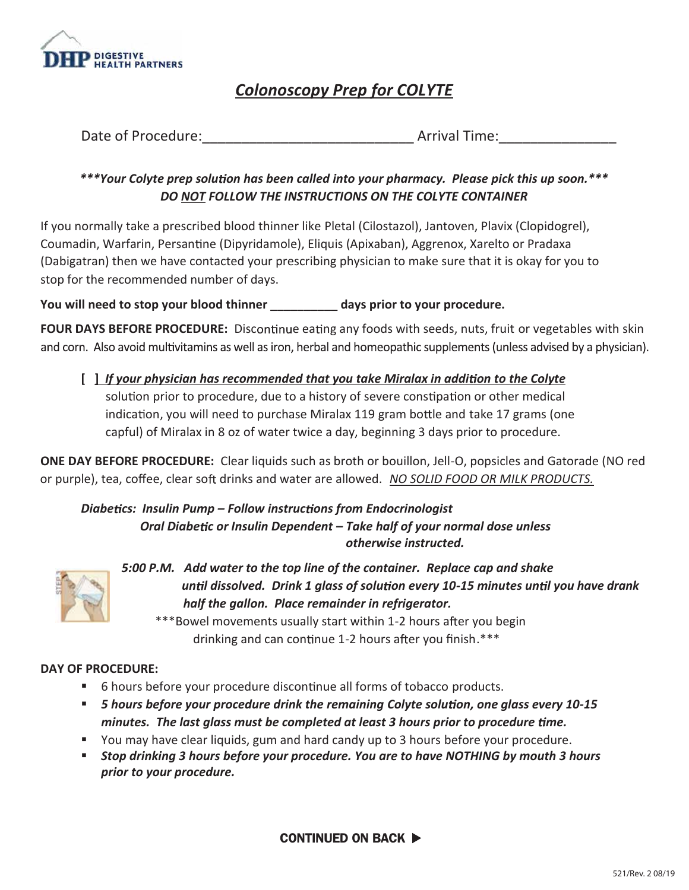

## *Colonoscopy Prep for COLYTE*

| Date of Procedure: | <b>Arrival Time:</b> |  |  |
|--------------------|----------------------|--|--|
|--------------------|----------------------|--|--|

## *\*\*\*Your Colyte prep solu on has been called into your pharmacy. Please pick this up soon.\*\*\* DO NOT FOLLOW THE INSTRUCTIONS ON THE COLYTE CONTAINER*

If you normally take a prescribed blood thinner like Pletal (Cilostazol), Jantoven, Plavix (Clopidogrel), Coumadin, Warfarin, Persantine (Dipyridamole), Eliquis (Apixaban), Aggrenox, Xarelto or Pradaxa (Dabigatran) then we have contacted your prescribing physician to make sure that it is okay for you to stop for the recommended number of days.

**You will need to stop your blood thinner \_\_\_\_\_\_\_\_\_\_ days prior to your procedure.**

FOUR DAYS BEFORE PROCEDURE: Discontinue eating any foods with seeds, nuts, fruit or vegetables with skin and corn. Also avoid multivitamins as well as iron, herbal and homeopathic supplements (unless advised by a physician).

**[ ]** *If your physician has recommended that you take Miralax in addi on to the Colyte* solution prior to procedure, due to a history of severe constipation or other medical indication, you will need to purchase Miralax 119 gram bottle and take 17 grams (one capful) of Miralax in 8 oz of water twice a day, beginning 3 days prior to procedure.

**ONE DAY BEFORE PROCEDURE:** Clear liquids such as broth or bouillon, Jell-O, popsicles and Gatorade (NO red or purple), tea, coffee, clear soft drinks and water are allowed. *NO SOLID FOOD OR MILK PRODUCTS.* 

*Diabe cs: Insulin Pump – Follow instruc ons from Endocrinologist Oral Diabe c or Insulin Dependent – Take half of your normal dose unless otherwise instructed.*



*5:00 P.M. Add water to the top line of the container. Replace cap and shake un l dissolved. Drink 1 glass of solu on every 10-15 minutes un l you have drank half the gallon. Place remainder in refrigerator.*

\*\*\*Bowel movements usually start within 1-2 hours after you begin drinking and can continue 1-2 hours after you finish. $***$ 

## **DAY OF PROCEDURE:**

- **6** hours before your procedure discontinue all forms of tobacco products.
- *5 hours before your procedure drink the remaining Colyte solu on, one glass every 10-15 minutes. The last glass must be completed at least 3 hours prior to procedure me.*
- You may have clear liquids, gum and hard candy up to 3 hours before your procedure.
- *Stop drinking 3 hours before your procedure. You are to have NOTHING by mouth 3 hours prior to your procedure.*